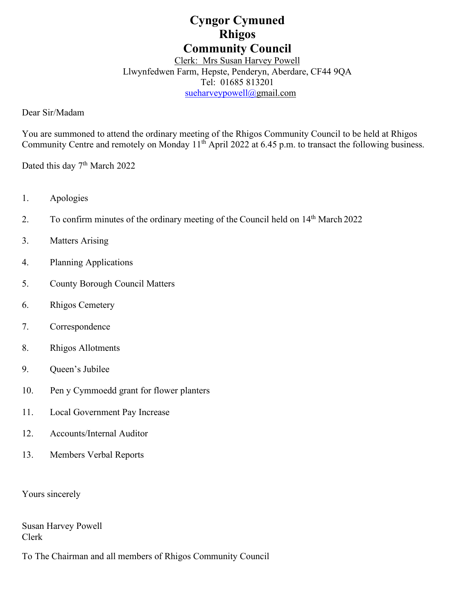# **Cyngor Cymuned Rhigos Community Council**

# Clerk: Mrs Susan Harvey Powell Llwynfedwen Farm, Hepste, Penderyn, Aberdare, CF44 9QA Tel: 01685 813201 [sueharveypowell@g](mailto:sharveypowell@comin-infants.co.uk)mail.com

Dear Sir/Madam

You are summoned to attend the ordinary meeting of the Rhigos Community Council to be held at Rhigos Community Centre and remotely on Monday 11<sup>th</sup> April 2022 at 6.45 p.m. to transact the following business.

Dated this day 7<sup>th</sup> March 2022

- 1. Apologies
- 2. To confirm minutes of the ordinary meeting of the Council held on 14<sup>th</sup> March 2022
- 3. Matters Arising
- 4. Planning Applications
- 5. County Borough Council Matters
- 6. Rhigos Cemetery
- 7. Correspondence
- 8. Rhigos Allotments
- 9. Queen's Jubilee
- 10. Pen y Cymmoedd grant for flower planters
- 11. Local Government Pay Increase
- 12. Accounts/Internal Auditor
- 13. Members Verbal Reports

Yours sincerely

Susan Harvey Powell Clerk

To The Chairman and all members of Rhigos Community Council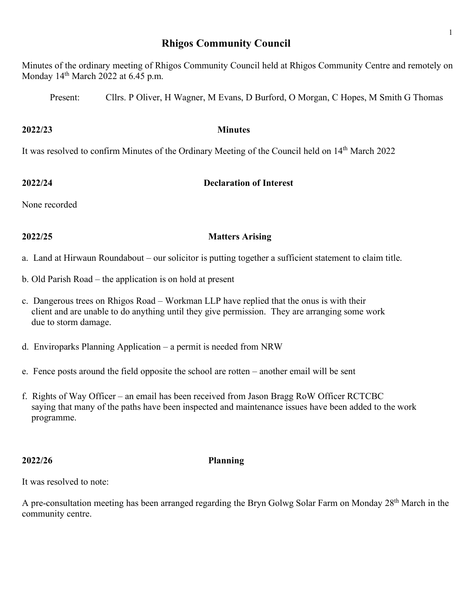# **Rhigos Community Council**

Minutes of the ordinary meeting of Rhigos Community Council held at Rhigos Community Centre and remotely on Monday  $14<sup>th</sup>$  March 2022 at 6.45 p.m.

Present: Cllrs. P Oliver, H Wagner, M Evans, D Burford, O Morgan, C Hopes, M Smith G Thomas

### **2022/23 Minutes**

It was resolved to confirm Minutes of the Ordinary Meeting of the Council held on 14<sup>th</sup> March 2022

# **2022/24 Declaration of Interest**

None recorded

# **2022/25 Matters Arising**

a. Land at Hirwaun Roundabout – our solicitor is putting together a sufficient statement to claim title.

- b. Old Parish Road the application is on hold at present
- c. Dangerous trees on Rhigos Road Workman LLP have replied that the onus is with their client and are unable to do anything until they give permission. They are arranging some work due to storm damage.
- d. Enviroparks Planning Application a permit is needed from NRW
- e. Fence posts around the field opposite the school are rotten another email will be sent
- f. Rights of Way Officer an email has been received from Jason Bragg RoW Officer RCTCBC saying that many of the paths have been inspected and maintenance issues have been added to the work programme.

# **2022/26 Planning**

It was resolved to note:

A pre-consultation meeting has been arranged regarding the Bryn Golwg Solar Farm on Monday 28<sup>th</sup> March in the community centre.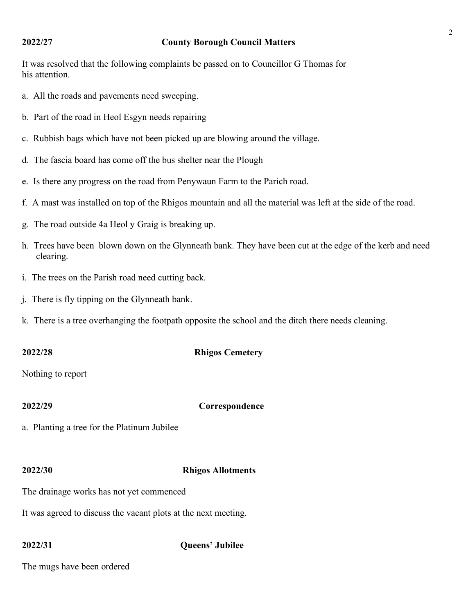### **2022/27 County Borough Council Matters**

It was resolved that the following complaints be passed on to Councillor G Thomas for his attention.

- a. All the roads and pavements need sweeping.
- b. Part of the road in Heol Esgyn needs repairing
- c. Rubbish bags which have not been picked up are blowing around the village.
- d. The fascia board has come off the bus shelter near the Plough
- e. Is there any progress on the road from Penywaun Farm to the Parich road.
- f. A mast was installed on top of the Rhigos mountain and all the material was left at the side of the road.
- g. The road outside 4a Heol y Graig is breaking up.
- h. Trees have been blown down on the Glynneath bank. They have been cut at the edge of the kerb and need clearing.
- i. The trees on the Parish road need cutting back.
- j. There is fly tipping on the Glynneath bank.
- k. There is a tree overhanging the footpath opposite the school and the ditch there needs cleaning.

### **2022/28 Rhigos Cemetery**

Nothing to report

## **2022/29 Correspondence**

a. Planting a tree for the Platinum Jubilee

### **2022/30 Rhigos Allotments**

The drainage works has not yet commenced

It was agreed to discuss the vacant plots at the next meeting.

### **2022/31 Queens' Jubilee**

The mugs have been ordered